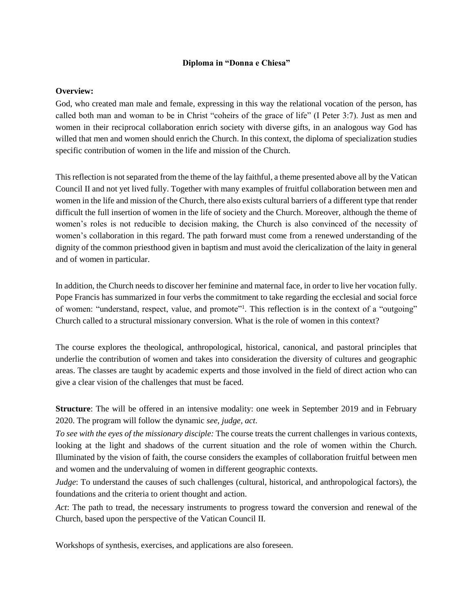## **Diploma in "Donna e Chiesa"**

## **Overview:**

God, who created man male and female, expressing in this way the relational vocation of the person, has called both man and woman to be in Christ "coheirs of the grace of life" (I Peter 3:7). Just as men and women in their reciprocal collaboration enrich society with diverse gifts, in an analogous way God has willed that men and women should enrich the Church. In this context, the diploma of specialization studies specific contribution of women in the life and mission of the Church.

This reflection is not separated from the theme of the lay faithful, a theme presented above all by the Vatican Council II and not yet lived fully. Together with many examples of fruitful collaboration between men and women in the life and mission of the Church, there also exists cultural barriers of a different type that render difficult the full insertion of women in the life of society and the Church. Moreover, although the theme of women's roles is not reducible to decision making, the Church is also convinced of the necessity of women's collaboration in this regard. The path forward must come from a renewed understanding of the dignity of the common priesthood given in baptism and must avoid the clericalization of the laity in general and of women in particular.

In addition, the Church needs to discover her feminine and maternal face, in order to live her vocation fully. Pope Francis has summarized in four verbs the commitment to take regarding the ecclesial and social force of women: "understand, respect, value, and promote"<sup>1</sup>. This reflection is in the context of a "outgoing" Church called to a structural missionary conversion. What is the role of women in this context?

The course explores the theological, anthropological, historical, canonical, and pastoral principles that underlie the contribution of women and takes into consideration the diversity of cultures and geographic areas. The classes are taught by academic experts and those involved in the field of direct action who can give a clear vision of the challenges that must be faced.

**Structure**: The will be offered in an intensive modality: one week in September 2019 and in February 2020. The program will follow the dynamic *see, judge, act*.

*To see with the eyes of the missionary disciple:* The course treats the current challenges in various contexts, looking at the light and shadows of the current situation and the role of women within the Church. Illuminated by the vision of faith, the course considers the examples of collaboration fruitful between men and women and the undervaluing of women in different geographic contexts.

*Judge*: To understand the causes of such challenges (cultural, historical, and anthropological factors), the foundations and the criteria to orient thought and action.

*Act*: The path to tread, the necessary instruments to progress toward the conversion and renewal of the Church, based upon the perspective of the Vatican Council II.

Workshops of synthesis, exercises, and applications are also foreseen.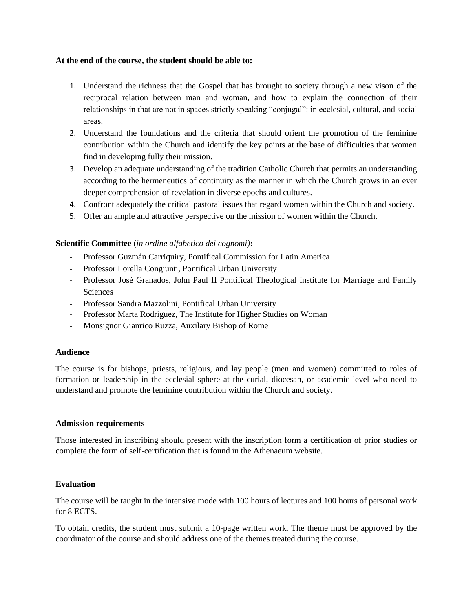#### **At the end of the course, the student should be able to:**

- 1. Understand the richness that the Gospel that has brought to society through a new vison of the reciprocal relation between man and woman, and how to explain the connection of their relationships in that are not in spaces strictly speaking "conjugal": in ecclesial, cultural, and social areas.
- 2. Understand the foundations and the criteria that should orient the promotion of the feminine contribution within the Church and identify the key points at the base of difficulties that women find in developing fully their mission.
- 3. Develop an adequate understanding of the tradition Catholic Church that permits an understanding according to the hermeneutics of continuity as the manner in which the Church grows in an ever deeper comprehension of revelation in diverse epochs and cultures.
- 4. Confront adequately the critical pastoral issues that regard women within the Church and society.
- 5. Offer an ample and attractive perspective on the mission of women within the Church.

## **Scientific Committee** (*in ordine alfabetico dei cognomi)***:**

- Professor Guzmán Carriquiry, Pontifical Commission for Latin America
- Professor Lorella Congiunti, Pontifical Urban University
- Professor José Granados, John Paul II Pontifical Theological Institute for Marriage and Family **Sciences**
- Professor Sandra Mazzolini, Pontifical Urban University
- Professor Marta Rodriguez, The Institute for Higher Studies on Woman
- Monsignor Gianrico Ruzza, Auxilary Bishop of Rome

## **Audience**

The course is for bishops, priests, religious, and lay people (men and women) committed to roles of formation or leadership in the ecclesial sphere at the curial, diocesan, or academic level who need to understand and promote the feminine contribution within the Church and society.

#### **Admission requirements**

Those interested in inscribing should present with the inscription form a certification of prior studies or complete the form of self-certification that is found in the Athenaeum website.

## **Evaluation**

The course will be taught in the intensive mode with 100 hours of lectures and 100 hours of personal work for 8 ECTS.

To obtain credits, the student must submit a 10-page written work. The theme must be approved by the coordinator of the course and should address one of the themes treated during the course.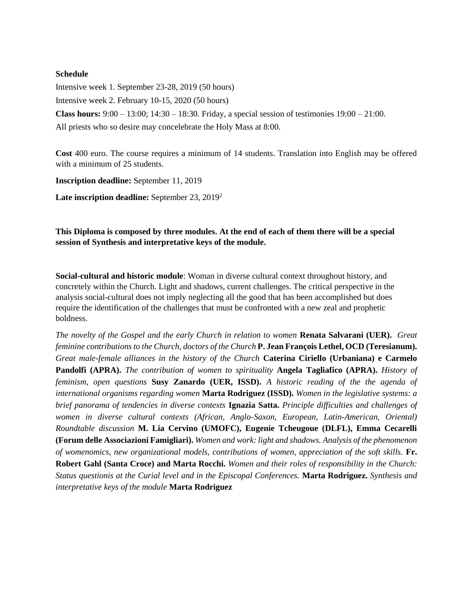### **Schedule**

Intensive week 1. September 23-28, 2019 (50 hours) Intensive week 2. February 10-15, 2020 (50 hours) **Class hours:**  $9:00 - 13:00$ ;  $14:30 - 18:30$ . Friday, a special session of testimonies  $19:00 - 21:00$ . All priests who so desire may concelebrate the Holy Mass at 8:00.

**Cost** 400 euro. The course requires a minimum of 14 students. Translation into English may be offered with a minimum of 25 students.

**Inscription deadline:** September 11, 2019

Late inscription deadline: September 23, 2019<sup>2</sup>

**This Diploma is composed by three modules. At the end of each of them there will be a special session of Synthesis and interpretative keys of the module.**

**Social-cultural and historic module**: Woman in diverse cultural context throughout history, and concretely within the Church. Light and shadows, current challenges. The critical perspective in the analysis social-cultural does not imply neglecting all the good that has been accomplished but does require the identification of the challenges that must be confronted with a new zeal and prophetic boldness.

*The novelty of the Gospel and the early Church in relation to women* **Renata Salvarani (UER).** *Great feminine contributions to the Church, doctors of the Church* **P. Jean François Lethel, OCD (Teresianum).**  *Great male-female alliances in the history of the Church* **Caterina Ciriello (Urbaniana) e Carmelo Pandolfi (APRA).** *The contribution of women to spirituality* **Angela Tagliafico (APRA).** *History of feminism, open questions* **Susy Zanardo (UER, ISSD).** *A historic reading of the the agenda of international organisms regarding women* **Marta Rodriguez (ISSD).** *Women in the legislative systems: a brief panorama of tendencies in diverse contexts* **Ignazia Satta.** *Principle difficulties and challenges of women in diverse cultural contexts (African, Anglo-Saxon, European, Latin-American, Oriental) Roundtable discussion* **M. Lia Cervino (UMOFC), Eugenie Tcheugoue (DLFL), Emma Cecarelli (Forum delle Associazioni Famigliari).** *Women and work: light and shadows. Analysis of the phenomenon of womenomics, new organizational models, contributions of women, appreciation of the soft skills.* **Fr. Robert Gahl (Santa Croce) and Marta Rocchi.** *Women and their roles of responsibility in the Church: Status questionis at the Curial level and in the Episcopal Conferences.* **Marta Rodriguez.** *Synthesis and interpretative keys of the module* **Marta Rodriguez**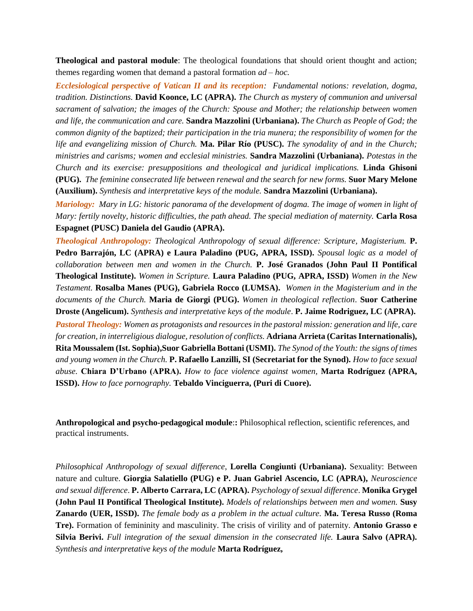**Theological and pastoral module**: The theological foundations that should orient thought and action; themes regarding women that demand a pastoral formation *ad – hoc.*

*Ecclesiological perspective of Vatican II and its reception: Fundamental notions: revelation, dogma, tradition. Distinctions.* **David Koonce, LC (APRA).** *The Church as mystery of communion and universal sacrament of salvation; the images of the Church: Spouse and Mother; the relationship between women and life, the communication and care.* **Sandra Mazzolini (Urbaniana).** *The Church as People of God; the common dignity of the baptized; their participation in the tria munera; the responsibility of women for the life and evangelizing mission of Church.* **Ma. Pilar Río (PUSC).** *The synodality of and in the Church; ministries and carisms; women and ecclesial ministries.* **Sandra Mazzolini (Urbaniana).** *Potestas in the Church and its exercise: presuppositions and theological and juridical implications.* **Linda Ghisoni (PUG).** *The feminine consecrated life between renewal and the search for new forms.* **Suor Mary Melone (Auxilium).** *Synthesis and interpretative keys of the module.* **Sandra Mazzolini (Urbaniana).**

*Mariology: Mary in LG: historic panorama of the development of dogma. The image of women in light of Mary: fertily novelty, historic difficulties, the path ahead. The special mediation of maternity.* **Carla Rosa Espagnet (PUSC) Daniela del Gaudio (APRA).**

*Theological Anthropology: Theological Anthropology of sexual difference: Scripture, Magisterium.* **P. Pedro Barrajón, LC (APRA) e Laura Paladino (PUG, APRA, ISSD).** *Spousal logic as a model of collaboration between men and women in the Church.* **P. José Granados (John Paul II Pontifical Theological Institute).** *Women in Scripture.* **Laura Paladino (PUG, APRA, ISSD)** *Women in the New Testament.* **Rosalba Manes (PUG), Gabriela Rocco (LUMSA).** *Women in the Magisterium and in the documents of the Church.* **Maria de Giorgi (PUG).** *Women in theological reflection*. **Suor Catherine Droste (Angelicum).** *Synthesis and interpretative keys of the module*. **P. Jaime Rodriguez, LC (APRA).**

*Pastoral Theology: Women as protagonists and resources in the pastoral mission: generation and life, care for creation, in interreligious dialogue, resolution of conflicts.* **Adriana Arrieta (Caritas Internationalis), Rita Moussalem (Ist. Sophia),Suor Gabriella Bottani (USMI).** *The Synod of the Youth: the signs of times and young women in the Church.* **P. Rafaello Lanzilli, SI (Secretariat for the Synod).** *How to face sexual abuse.* **Chiara D'Urbano (APRA).** *How to face violence against women,* **Marta Rodríguez (APRA, ISSD).** *How to face pornography.* **Tebaldo Vinciguerra, (Puri di Cuore).** 

**Anthropological and psycho-pedagogical module**:**:** Philosophical reflection, scientific references, and practical instruments.

*Philosophical Anthropology of sexual difference*, **Lorella Congiunti (Urbaniana).** Sexuality: Between nature and culture. **Giorgia Salatiello (PUG) e P. Juan Gabriel Ascencio, LC (APRA),** *Neuroscience and sexual difference*. **P. Alberto Carrara, LC (APRA).** *Psychology of sexual difference*. **Monika Grygel (John Paul II Pontifical Theological Institute).** *Models of relationships between men and women.* **Susy Zanardo (UER, ISSD).** *The female body as a problem in the actual culture.* **Ma. Teresa Russo (Roma Tre).** Formation of femininity and masculinity. The crisis of virility and of paternity. **Antonio Grasso e Silvia Berivi.** *Full integration of the sexual dimension in the consecrated life.* **Laura Salvo (APRA).**  *Synthesis and interpretative keys of the module* **Marta Rodríguez,**